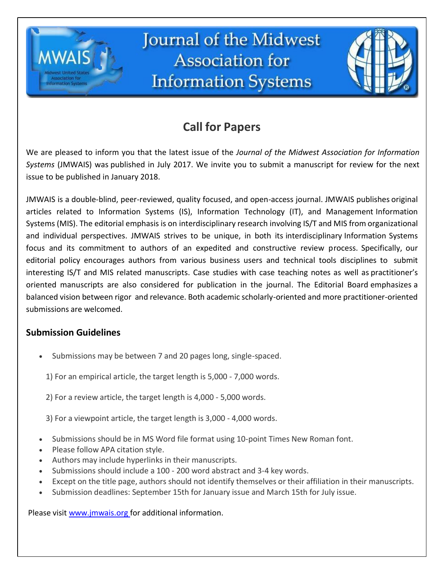

# **Call for Papers**

We are pleased to inform you that the latest issue of the *Journal of the Midwest Association for Information Systems* (JMWAIS) was published in January 2019. We invite you to submit a manuscript for review for the next issue to be published in July 2019.

JMWAIS is a double-blind, peer-reviewed, quality focused, and open-access journal. JMWAIS publishes original articles related to Information Systems (IS), Information Technology (IT), and Management Information Systems (MIS). The editorial emphasis is on interdisciplinary research involving IS/T and MIS from organizational and individual perspectives. JMWAIS strives to be unique, in both its interdisciplinary Information Systems focus and its commitment to authors of an expedited and constructive review process. Specifically, our editorial policy encourages authors from various business users and technical tools disciplines to submit interesting IS/T and MIS related manuscripts. Case studies with case teaching notes as well as practitioner's oriented manuscripts are also considered for publication in the journal. The Editorial Board emphasizes a balanced vision between rigor and relevance. Both academic scholarly-oriented and more practitioner-oriented submissions are welcomed.

## **Submission Guidelines**

Submissions may be between 7 and 20 pages long, single-spaced.

1) For an empirical article, the target length is 5,000 - 7,000 words.

2) For a review article, the target length is 4,000 - 5,000 words.

3) For a viewpoint article, the target length is 3,000 - 4,000 words.

- Submissions should be in MS Word file format using 10-point Times New Roman font.
- Please follow APA citation style.
- Authors may include hyperlinks in their manuscripts.
- Submissions should include a 100 200 word abstract and 3-4 key words.
- Except on the title page, authors should not identify themselves or their affiliation in their manuscripts.
- Submission deadlines: September 15th for January issue and March 15th for July issue.

Please visit [www.jmwais.org f](http://www.jmwais.org/)or additional information.